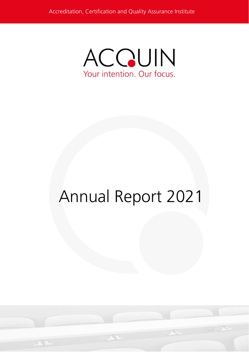

## Annual Report 2021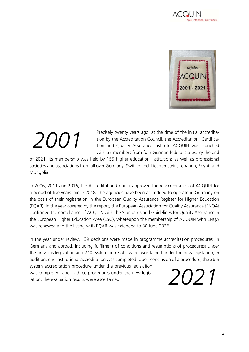



# *2001*

Precisely twenty years ago, at the time of the initial accreditation by the Accreditation Council, the Accreditation, Certification and Quality Assurance Institute ACQUIN was launched with 57 members from four German federal states. By the end

of 2021, its membership was held by 155 higher education institutions as well as professional societies and associations from all over Germany, Switzerland, Liechtenstein, Lebanon, Egypt, and Mongolia.

In 2006, 2011 and 2016, the Accreditation Council approved the reaccreditation of ACQUIN for a period of five years. Since 2018, the agencies have been accredited to operate in Germany on the basis of their registration in the European Quality Assurance Register for Higher Education (EQAR). In the year covered by the report, the European Association for Quality Assurance (ENQA) confirmed the compliance of ACQUIN with the Standards and Guidelines for Quality Assurance in the European Higher Education Area (ESG), whereupon the membership of ACQUIN with ENQA was renewed and the listing with EQAR was extended to 30 June 2026.

In the year under review, 139 decisions were made in programme accreditation procedures (in Germany and abroad, including fulfilment of conditions and resumptions of procedures) under the previous legislation and 240 evaluation results were ascertained under the new legislation; in addition, one institutional accreditation was completed. Upon conclusion of a procedure, the 36th

system accreditation procedure under the previous legislation was completed, and in three procedures under the new legislation, the evaluation results were ascertained.

*2021*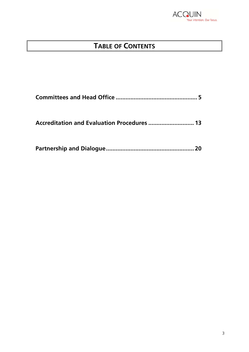

### **TABLE OF CONTENTS**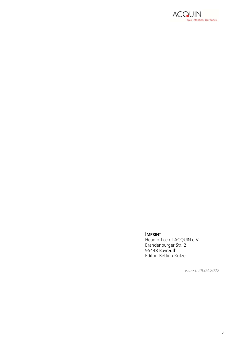

#### **IMPRINT**

Head office of ACQUIN e.V. Brandenburger Str. 2 95448 Bayreuth Editor: Bettina Kutzer

*Issued: 29.04.2022*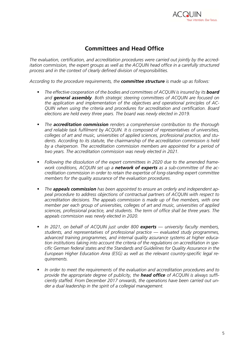

#### **Committees and Head Office**

*The evaluation, certification, and accreditation procedures were carried out jointly by the accreditation commission, the expert groups as well as the ACQUIN head office in a carefully structured process and in the context of clearly defined division of responsibilities.* 

*According to the procedure requirements, the committee structure is made up as follows:* 

- *The effective cooperation of the bodies and committees of ACQUIN is insured by its board and general assembly. Both strategic steering committees of ACQUIN are focused on the application and implementation of the objectives and operational principles of AC-QUIN when using the criteria and procedures for accreditation and certification. Board elections are held every three years. The board was newly elected in 2019.*
- **The accreditation commission** renders a comprehensive contribution to the thorough *and reliable task fulfilment by ACQUIN. It is composed of representatives of universities, colleges of art and music, universities of applied sciences, professional practice, and students. According to its statute, the chairmanship of the accreditation commission is held by a chairperson. The accreditation commission members are appointed for a period of two years. The accreditation commission was newly elected in 2021.*
- *Following the dissolution of the expert committees in 2020 due to the amended framework conditions, ACQUIN set up a network of experts as a sub-committee of the accreditation commission in order to retain the expertise of long-standing expert committee members for the quality assurance of the evaluation procedures.*
- **The appeals commission** has been appointed to ensure an orderly and independent ap*peal procedure to address objections of contractual partners of ACQUIN with respect to accreditation decisions. The appeals commission is made up of five members, with one member per each group of universities, colleges of art and music, universities of applied sciences, professional practice, and students. The term of office shall be three years. The appeals commission was newly elected in 2020.*
- *In 2021, on behalf of ACQUIN just under 800 experts university faculty members, students, and representatives of professional practice — evaluated study programmes, advanced training programmes, and internal quality assurance systems at higher education institutions taking into account the criteria of the regulations on accreditation in specific German federal states and the Standards and Guidelines for Quality Assurance in the European Higher Education Area (ESG) as well as the relevant country-specific legal requirements.*
- *In order to meet the requirements of the evaluation and accreditation procedures and to provide the appropriate degree of publicity, the head office of ACQUIN is always sufficiently staffed. From December 2017 onwards, the operations have been carried out under a dual leadership in the spirit of a collegial management.*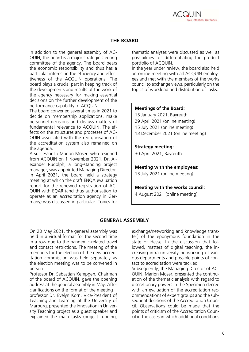#### **THE BOARD**

In addition to the general assembly of AC-QUIN, the board is a major strategic steering committee of the agency. The board bears the economic responsibility and thus has a particular interest in the efficiency and effectiveness of the ACQUIN operations. The board plays a crucial part in keeping track of the developments and results of the work of the agency necessary for making essential decisions on the further development of the performance capability of ACQUIN.

The board convened several times in 2021 to decide on membership applications, make personnel decisions and discuss matters of fundamental relevance to ACQUIN. The effects on the structures and processes of AC-QUIN associated with the reorganisation of the accreditation system also remained on the agenda.

A successor to Marion Moser, who resigned from ACQUIN on 1 November 2021, Dr. Alexander Rudolph, a long-standing project manager, was appointed Managing Director. In April 2021, the board held a strategy meeting at which the draft ENQA evaluation report for the renewed registration of AC-QUIN with EQAR (and thus authorisation to operate as an accreditation agency in Germany) was discussed in particular. Topics for thematic analyses were discussed as well as possibilities for differentiating the product portfolio of ACQUIN.

In the year under review, the board also held an online meeting with all ACQUIN employees and met with the members of the works council to exchange views, particularly on the topics of workload and distribution of tasks.

#### **Meetings of the Board:**

15 January 2021, Bayreuth

- 29 April 2021 (online meeting)
- 15 July 2021 (online meeting)
- 13 December 2021 (online meeting)

#### **Strategy meeting:**

30 April 2021, Bayreuth

#### **Meeting with the employees:**

13 July 2021 (online meeting)

#### **Meeting with the works council:**

4 August 2021 (online meeting)

#### **GENERAL ASSEMBLY**

On 20 May 2021, the general assembly was held in a virtual format for the second time in a row due to the pandemic-related travel and contact restrictions. The meeting of the members for the election of the new accreditation commission was held separately as the election meeting was to be convened in person.

Professor Dr. Sebastian Kempgen, Chairman of the board of ACQUIN, gave the opening address at the general assembly in May. After clarifications on the format of the meeting

professor Dr. Evelyn Korn, Vice-President of Teaching and Learning at the University of Marburg, presented the Innovation in University Teaching project as a guest speaker and explained the main tasks (project funding, exchange/networking and knowledge transfer) of the eponymous foundation in the state of Hesse. In the discussion that followed, matters of digital teaching, the increasing intra-university networking of various departments and possible points of contact to accreditation were tackled.

Subsequently, the Managing Director of AC-QUIN, Marion Moser, presented the continuation of the thematic analysis with regard to discretionary powers in the Specimen decree with an evaluation of the accreditation recommendations of expert groups and the subsequent decisions of the Accreditation Council. Observations could be made that the points of criticism of the Accreditation Council in the cases in which additional conditions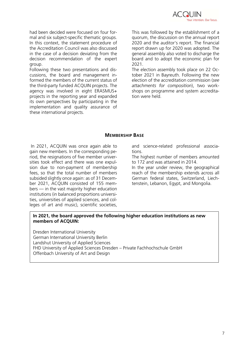

had been decided were focused on four formal and six subject-specific thematic groups. In this context, the statement procedure of the Accreditation Council was also discussed in the case of a decision deviating from the decision recommendation of the expert group.

Following these two presentations and discussions, the board and management informed the members of the current status of the third-party funded ACQUIN projects. The agency was involved in eight ERASMUS+ projects in the reporting year and expanded its own perspectives by participating in the implementation and quality assurance of these international projects.

This was followed by the establishment of a quorum, the discussion on the annual report 2020 and the auditor's report. The financial report drawn up for 2020 was adopted. The general assembly also voted to discharge the board and to adopt the economic plan for 2021.

The election assembly took place on 22 October 2021 in Bayreuth. Following the new election of the accreditation commission (*see attachments for composition*), two workshops on programme and system accreditation were held.

#### **MEMBERSHIP BASE**

 In 2021, ACQUIN was once again able to gain new members. In the corresponding period, the resignations of five member universities took effect and there was one expulsion due to non-payment of membership fees, so that the total number of members subsided slightly once again: as of 31 December 2021, ACQUIN consisted of 155 members — in the vast majority higher education institutions (in balanced proportions universities, universities of applied sciences, and colleges of art and music), scientific societies, and science-related professional associations.

The highest number of members amounted to 172 and was attained in 2014.

In the year under review, the geographical reach of the membership extends across all German federal states, Switzerland, Liechtenstein, Lebanon, Egypt, and Mongolia.

#### **In 2021, the board approved the following higher education institutions as new members of ACQUIN:**

Dresden International University German International University Berlin Landshut University of Applied Sciences FHD University of Applied Sciences Dresden – Private Fachhochschule GmbH Offenbach University of Art and Design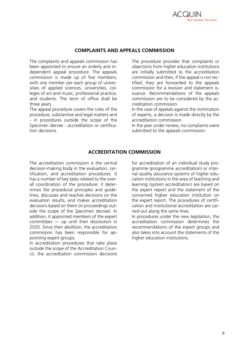

#### **COMPLAINTS AND APPEALS COMMISSION**

The complaints and appeals commission has been appointed to ensure an orderly and independent appeal procedure. The appeals commission is made up of five members, with one member per each group of universities of applied sciences, universities, colleges of art and music, professional practice, and students. The term of office shall be three years.

The appeal procedure covers the rules of the procedure, substantive and legal matters and - in procedures outside the scope of the Specimen decree - accreditation or certification decisions.

The procedure provides that complaints or objections from higher education institutions are initially submitted to the accreditation commission and then, if the appeal is not rectified, they are forwarded to the appeals commission for a revision and statement issuance. Recommendations of the appeals commission are to be considered by the accreditation commission.

In the case of appeals against the nomination of experts, a decision is made directly by the accreditation commission.

In the year under review, no complaints were submitted to the appeals commission.

#### **ACCREDITATION COMMISSION**

The accreditation commission is the central decision-making body in the evaluation, certification, and accreditation procedures. It has a number of key tasks related to the overall coordination of the procedure: it determines the procedural principles and guidelines, discusses and reaches decisions on the evaluation results, and makes accreditation decisions based on them (in proceedings outside the scope of the Specimen decree). In addition, it appointed members of the expert committees — up until their dissolution in 2020. Since their abolition, the accreditation commission has been responsible for appointing expert groups.

In accreditation procedures that take place outside the scope of the Accreditation Council, the accreditation commission decisions for accreditation of an individual study programme (programme accreditation) or internal quality assurance systems of higher education institutions in the area of teaching and learning (system accreditation) are based on the expert report and the statement of the concerned higher education institution on the expert report. The procedures of certification and institutional accreditation are carried out along the same lines.

In procedures under the new legislation, the accreditation commission determines the recommendations of the expert groups and also takes into account the statements of the higher education institutions.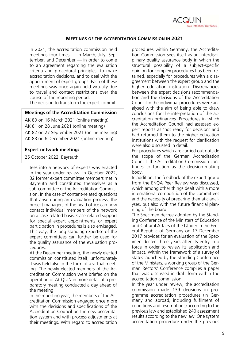

#### **MEETINGS OF THE ACCREDITATION COMMISSION IN 2021**

In 2021, the accreditation commission held meetings four times — in March, July, September, and December — in order to come to an agreement regarding the evaluation criteria and procedural principles, to make accreditation decisions, and to deal with the appointment of expert groups. Each of these meetings was once again held virtually due to travel and contact restrictions over the course of the reporting period.

The decision to transform the expert commit-

#### **Meetings of the Accreditation Commission**

AK 80 on 16 March 2021 (online meeting) AK 81 on 28 June 2021 (online meeting) AK 82 on 27 September 2021 (online meeting) AK 83 on 6 December 2021 (online meeting)

#### **Expert network meeting:**

25 October 2022, Bayreuth

tees into a network of experts was enacted in the year under review. In October 2022, 32 former expert committee members met in Bayreuth and constituted themselves as a sub-committee of the Accreditation Commission. In the case of content-related questions that arise during an evaluation process, the project managers of the head office can now contact individual members of the network on a case-related basis. Case-related support for special expert appointments or expert participation in procedures is also envisaged. This way, the long-standing expertise of the expert committees can further be used for the quality assurance of the evaluation procedures.

At the December meeting, the newly elected commission constituted itself, unfortunately it was held also in the form of a virtual meeting. The newly elected members of the Accreditation Commission were briefed on the operation of ACQUIN in more detail at a preparatory meeting conducted a day ahead of the meeting.

In the reporting year, the members of the Accreditation Commission engaged once more with the decisions and specifications of the Accreditation Council on the new accreditation system and with process adjustments at their meetings. With regard to accreditation procedures within Germany, the Accreditation Commission sees itself as an interdisciplinary quality assurance body in which the structural possibility of a subject-specific opinion for complex procedures has been retained, especially for procedures with a disagreement between the expert group and the higher education institution. Discrepancies between the expert decisions recommendation and the decisions of the Accreditation Council in the individual procedures were analysed with the aim of being able to draw conclusions for the interpretation of the accreditation ordinances. Procedures in which the Accreditation Council had assessed expert reports as 'not ready for decision' and had returned them to the higher education institutions with the request for clarification were also discussed in detail.

For procedures which are carried out outside the scope of the German Accreditation Council, the Accreditation Commission continues to function as the decision-making body.

In addition, the feedback of the expert group from the ENQA Peer Review was discussed, which among other things dealt with a more international composition of the committees and the necessity of preparing thematic analyses, but also with the future financial planning of the board.

The Specimen decree adopted by the Standing Conference of the Ministers of Education and Cultural Affairs of the Länder in the Federal Republic of Germany on 17 December 2017 provides for an evaluation of the Specimen decree three years after its entry into force in order to review its application and impact. Within the framework of a survey of states launched by the Standing Conference of the Ministers, a working group of the German Rectors' Conference compiles a paper that was discussed in draft form within the accreditation commission.

In the year under review, the accreditation commission made 139 decisions in programme accreditation procedures (in Germany and abroad, including fulfilment of conditions and resumptions) according to the previous law and established 240 assessment results according to the new law. One system accreditation procedure under the previous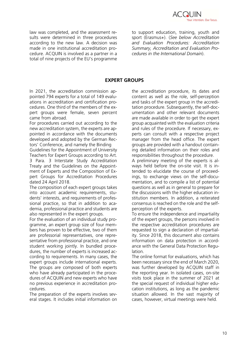

law was completed, and the assessment results were determined in three procedures according to the new law. A decision was made in one institutional accreditation procedure. ACQUIN is involved as a partner in a total of nine projects of the EU's programme

to support education, training, youth and sport (Erasmus+). (*See below Accreditation and Evaluation Procedures: Accreditation Summary, Accreditation and Evaluation Procedures in the International Domain*).

#### **EXPERT GROUPS**

In 2021, the accreditation commission appointed 794 experts for a total of 149 evaluations in accreditation and certification procedures. One third of the members of the expert groups were female, seven percent came from abroad.

For procedures carried out according to the new accreditation system, the experts are appointed in accordance with the documents developed and adopted by the German Rectors' Conference, and namely the Binding

Guidelines for the Appointment of University Teachers for Expert Groups according to Art. 3 Para. 3 Interstate Study Accreditation Treaty and the Guidelines on the Appointment of Experts and the Composition of Expert Groups for Accreditation Procedures dated 24 April 2018.

The composition of each expert groups takes into account academic requirements, students' interests, and requirements of professional practice, so that in addition to academia, professional practice and students are also represented in the expert groups.

For the evaluation of an individual study programme, an expert group size of four members has proven to be effective, two of them are professorial representatives, one representative from professional practice, and one student working jointly. In bundled procedures, the number of experts is increased according to requirements. In many cases, the expert groups include international experts. The groups are composed of both experts who have already participated in the procedures of ACQUIN and new experts who have no previous experience in accreditation procedures.

The preparation of the experts involves several stages. It includes initial information on the accreditation procedure, its dates and content as well as the role, self-perception and tasks of the expert group in the accreditation procedure. Subsequently, the self-documentation and other relevant documents are made available in order to get the expert group acquainted with the evaluation criteria and rules of the procedure. If necessary, experts can consult with a respective project manager from the head office. The expert groups are provided with a handout containing detailed information on their roles and responsibilities throughout the procedure.

A preliminary meeting of the experts is always held before the on-site visit. It is intended to elucidate the course of proceedings, to exchange views on the self-documentation, and to compile a list of potential questions as well as in general to prepare for the discussions with the higher education institution members. In addition, a reiterated consensus is reached on the role and the selfperception of the experts.

To ensure the independence and impartiality of the expert groups, the persons involved in the respective accreditation procedures are requested to sign a declaration of impartiality. Since 2018, this document also contains information on data protection in accordance with the General Data Protection Regulation.

The online format for evaluations, which has been necessary since the end of March 2020, was further developed by ACQUIN staff in the reporting year. In isolated cases, on-site visits took place in the summer of 2021 at the special request of individual higher education institutions, as long as the pandemic situation allowed. In the vast majority of cases, however, virtual meetings were held.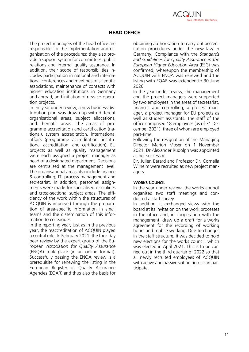#### **HEAD OFFICE**

The project managers of the head office are responsible for the implementation and organisation of the procedures; they also provide a support system for committees, public relations and internal quality assurance. In addition, their scope of responsibilities includes participation in national and international conferences and meetings of scientific associations, maintenance of contacts with higher education institutions in Germany and abroad, and initiation of new co-operation projects.

In the year under review, a new business distribution plan was drawn up with different organisational areas, subject allocations, and thematic areas. The areas of programme accreditation and certification (national), system accreditation, international affairs (programme accreditation, institutional accreditation, and certification), EU projects as well as quality management were each assigned a project manager as head of a designated department. Decisions are centralised at the management level. The organisational areas also include finance & controlling, IT, process management and secretariat. In addition, personnel assignments were made for specialised disciplines and cross-sectional subject areas. The efficiency of the work within the structures of ACQUIN is improved through the preparation of area-specific information in small teams and the dissemination of this information to colleagues.

In the reporting year, just as in the previous year, the reaccreditation of ACQUIN played a central role. In February 2021, the four-day peer review by the expert group of the European *Association for Quality Assurance* (ENQA) took place (in an online format). Successfully passing the ENQA review is a prerequisite for renewing the listing in the European Register of Quality Assurance Agencies (EQAR) and thus also the basis for obtaining authorisation to carry out accreditation procedures under the new law in Germany. Compliance with the *Standards and Guidelines for Quality Assurance in the European Higher Education Area* (ESG) was confirmed, whereupon the membership of ACQUIN with ENQA was renewed and the listing with EQAR was extended to 30 June 2026.

In the year under review, the management and the project managers were supported by two employees in the areas of secretariat, finances and controlling, a process manager, a project manager for EU projects as well as student assistants. The staff of the office comprised 18 employees (as of 31 December 2021), three of whom are employed part-time.

Following the resignation of the Managing Director Marion Moser on 1 November 2021, Dr Alexander Rudolph was appointed as her successor.

Dr. Julien Bérard and Professor Dr. Cornelia Wilhelm were recruited as new project managers.

#### **WORKS COUNCIL**

In the year under review, the works council organised two staff meetings and conducted a staff survey.

In addition, it exchanged views with the board at its invitation on the work processes in the office and, in cooperation with the management, drew up a draft for a works agreement for the recording of working hours and mobile working. Due to changes in the staff structure, it was decided to hold new elections for the works council, which was elected in April 2021. This is to be carried out in the third quarter of 2022 so that all newly recruited employees of ACQUIN with active and passive voting rights can participate.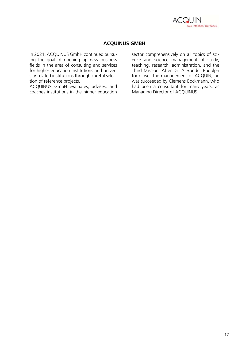

#### **ACQUINUS GMBH**

In 2021, ACQUINUS GmbH continued pursuing the goal of opening up new business fields in the area of consulting and services for higher education institutions and university-related institutions through careful selection of reference projects.

ACQUINUS GmbH evaluates, advises, and coaches institutions in the higher education sector comprehensively on all topics of science and science management of study, teaching, research, administration, and the Third Mission. After Dr. Alexander Rudolph took over the management of ACQUIN, he was succeeded by Clemens Bockmann, who had been a consultant for many years, as Managing Director of ACQUINUS.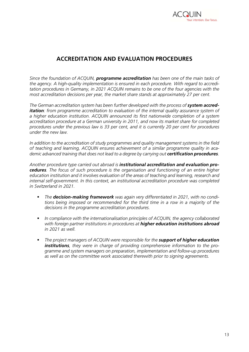#### **ACCREDITATION AND EVALUATION PROCEDURES**

*Since the foundation of ACQUIN, programme accreditation has been one of the main tasks of the agency. A high-quality implementation is ensured in each procedure. With regard to accreditation procedures in Germany, in 2021 ACQUIN remains to be one of the four agencies with the most accreditation decisions per year, the market share stands at approximately 27 per cent.* 

The German accreditation system has been further developed with the process of **system accred***itation: from programme accreditation to evaluation of the internal quality assurance system of a higher education institution. ACQUIN announced its first nationwide completion of a system accreditation procedure at a German university in 2011, and now its market share for completed procedures under the previous law is 33 per cent, and it is currently 20 per cent for procedures under the new law.* 

*In addition to the accreditation of study programmes and quality management systems in the field of teaching and learning, ACQUIN ensures achievement of a similar programme quality in academic advanced training that does not lead to a degree by carrying out certification procedures.* 

*Another procedure type carried out abroad is institutional accreditation and evaluation procedures. The focus of such procedure is the organisation and functioning of an entire higher education institution and it involves evaluation of the areas of teaching and learning, research and internal self-government. In this context, an institutional accreditation procedure was completed in Switzerland in 2021.*

- **The decision-making framework** was again very differentiated in 2021, with no condi*tions being imposed or recommended for the third time in a row in a majority of the decisions in the programme accreditation procedures.*
- *In compliance with the internationalisation principles of ACQUIN, the agency collaborated with foreign partner institutions in procedures at higher education institutions abroad in 2021 as well.*
- **The project managers of ACQUIN were responsible for the <b>***support of higher education institutions, they were in charge of providing comprehensive information to the programme and system managers on preparation, implementation and follow-up procedures as well as on the committee work associated therewith prior to signing agreements.*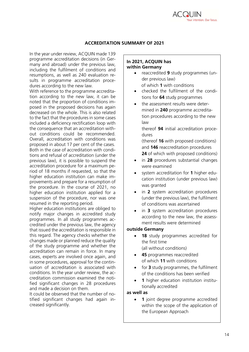

#### **ACCREDITATION SUMMARY OF 2021**

In the year under review, ACQUIN made 139 programme accreditation decisions (in Germany and abroad) under the previous law, including the fulfilment of conditions and resumptions, as well as 240 evaluation results in programme accreditation procedures according to the new law.

With reference to the programme accreditation according to the new law, it can be noted that the proportion of conditions imposed in the proposed decisions has again decreased on the whole. This is also related to the fact that the procedures in some cases included a deficiency rectification loop with the consequence that an accreditation without conditions could be recommended. Overall, accreditation with conditions was proposed in about 17 per cent of the cases. Both in the case of accreditation with conditions and refusal of accreditation (under the previous law), it is possible to suspend the accreditation procedure for a maximum period of 18 months if requested, so that the higher education institution can make improvements and prepare for a resumption of the procedure. In the course of 2021, no higher education institution applied for a suspension of the procedure, nor was one resumed in the reporting period.

Higher education institutions are obliged to notify major changes in accredited study programmes. In all study programmes accredited under the previous law, the agency that issued the accreditation is responsible in this regard. The agency checks whether the changes made or planned reduce the quality of the study programme and whether the accreditation can remain in force. In many cases, experts are involved once again, and in some procedures, approval for the continuation of accreditation is associated with conditions. In the year under review, the accreditation commission examined the notified significant changes in 28 procedures and made a decision on them.

It could be observed that the number of notified significant changes had again increased significantly.

#### **In 2021, ACQUIN has within Germany**

- reaccredited **9** study programmes (under previous law) of which **1** with conditions
- checked the fulfilment of the conditions for **64** study programmes
- the assessment results were determined in **240** programme accreditation procedures according to the new law

thereof **94** initial accreditation procedures

(thereof **16** with proposed conditions) and **146** reaccreditation procedures **24** of which with proposed conditions)

- in **28** procedures substantial changes were examined
- system accreditation for **1** higher education institution (under previous law) was granted
- in **2** system accreditation procedures (under the previous law), the fulfilment of conditions was ascertained
- in **3** system accreditation procedures according to the new law, the assessment results were determined

#### **outside Germany**

- **18** study programmes accredited for the first time (all without conditions)
- **45** programmes reaccredited of which **11** with conditions
- for **3** study programmes, the fulfilment of the conditions has been verified
- **1** higher education institution institutionally accredited

#### **as well as**

**1** joint degree programme accredited within the scope of the application of the European Approach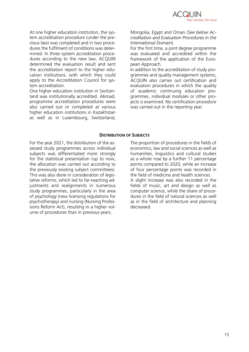At one higher education institution, the system accreditation procedure (under the previous law) was completed and in two procedures the fulfilment of conditions was determined. In three system accreditation procedures according to the new law, ACQUIN determined the evaluation result and sent the accreditation report to the higher education institutions, with which they could apply to the Accreditation Council for system accreditation.

One higher education institution in Switzerland was institutionally accredited. Abroad, programme accreditation procedures were also carried out or completed at various higher education institutions in Kazakhstan as well as in Luxembourg, Switzerland,

Mongolia, Egypt and Oman (*See below Accreditation and Evaluation Procedures in the International Domain*).

For the first time, a joint degree programme was evaluated and accredited within the framework of the application of the European Approach.

In addition to the accreditation of study programmes and quality management systems, ACQUIN also carries out certification and evaluation procedures in which the quality of academic continuing education programmes, individual modules or other projects is examined. No certification procedure was carried out in the reporting year.

#### **DISTRIBUTION OF SUBJECTS**

For the year 2021, the distribution of the assessed study programmes across individual subjects was differentiated more strongly for the statistical presentation (up to now, the allocation was carried out according to the previously existing subject committees). This was also done in consideration of legislative reforms, which led to far-reaching adjustments and realignments in numerous study programmes, particularly in the area of psychology (new licensing regulations for psychotherapy) and nursing (Nursing Professions Reform Act), resulting in a higher volume of procedures than in previous years.

The proportion of procedures in the fields of economics, law and social sciences as well as humanities, linguistics and cultural studies as a whole rose by a further 11 percentage points compared to 2020, while an increase of four percentage points was recorded in the field of medicine and health sciences. A slight increase was also recorded in the fields of music, art and design as well as computer science, while the share of procedures in the field of natural sciences as well as in the field of architecture and planning decreased.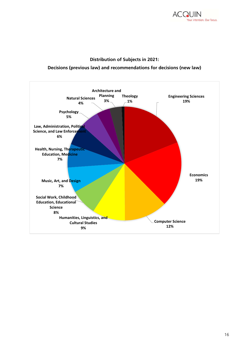



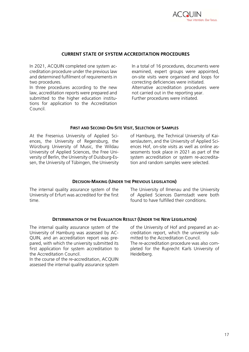#### **CURRENT STATE OF SYSTEM ACCREDITATION PROCEDURES**

In 2021, ACQUIN completed one system accreditation procedure under the previous law and determined fulfilment of requirements in two procedures.

In three procedures according to the new law, accreditation reports were prepared and submitted to the higher education institutions for application to the Accreditation Council.

In a total of 16 procedures, documents were examined, expert groups were appointed, on-site visits were organised and loops for correcting deficiencies were initiated. Alternative accreditation procedures were not carried out in the reporting year. Further procedures were initiated.

#### **FIRST AND SECOND ON-SITE VISIT, SELECTION OF SAMPLES**

At the Fresenius University of Applied Sciences, the University of Regensburg, the Würzburg University of Music, the Wildau University of Applied Sciences, the Free University of Berlin, the University of Duisburg-Essen, the University of Tübingen, the University of Hamburg, the Technical University of Kaiserslautern, and the University of Applied Sciences Hof, on-site visits as well as online assessments took place in 2021 as part of the system accreditation or system re-accreditation and random samples were selected.

#### **DECISION-MAKING (UNDER THE PREVIOUS LEGISLATION)**

The internal quality assurance system of the University of Erfurt was accredited for the first time.

The University of Ilmenau and the University of Applied Sciences Darmstadt were both found to have fulfilled their conditions.

#### **DETERMINATION OF THE EVALUATION RESULT (UNDER THE NEW LEGISLATION)**

The internal quality assurance system of the University of Hamburg was assessed by AC-QUIN, and an accreditation report was prepared, with which the university submitted its first application for system accreditation to the Accreditation Council.

In the course of the re-accreditation, ACQUIN assessed the internal quality assurance system of the University of Hof and prepared an accreditation report, which the university submitted to the Accreditation Council.

The re-accreditation procedure was also completed for the Ruprecht Karls University of Heidelberg.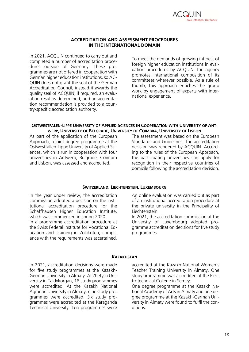

#### **ACCREDITATION AND ASSESSMENT PROCEDURES IN THE INTERNATIONAL DOMAIN**

In 2021, ACQUIN continued to carry out and completed a number of accreditation procedures outside of Germany. These programmes are not offered in cooperation with German higher education institutions, so AC-QUIN does not grant the seal of the German Accreditation Council, instead it awards the quality seal of ACQUIN; if required, an evaluation result is determined, and an accreditation recommendation is provided to a country-specific accreditation authority.

To meet the demands of growing interest of foreign higher education institutions in evaluation procedures by ACQUIN, the agency promotes international composition of its committees wherever possible. As a rule of thumb, this approach enriches the group work by engagement of experts with international experience.

#### **OSTWESTFALEN-LIPPE UNIVERSITY OF APPLIED SCIENCES IN COOPERATION WITH UNIVERSITY OF ANT-WERP, UNIVERSITY OF BELGRADE, UNIVERSITY OF COIMBRA, UNIVERSITY OF LISBON**

As part of the application of the European Approach, a joint degree programme at the Ostwestfallen-Lippe University of Applied Sciences, which is run in cooperation with four universities in Antwerp, Belgrade, Coimbra and Lisbon, was assessed and accredited.

The assessment was based on the European Standards and Guidelines. The accreditation decision was rendered by ACQUIN. According to the rules of the European Approach, the participating universities can apply for recognition in their respective countries of domicile following the accreditation decision.

#### **SWITZERLAND, LIECHTENSTEIN, LUXEMBOURG**

In the year under review, the accreditation commission adopted a decision on the institutional accreditation procedure for the Schaffhausen Higher Education Institute, which was commenced in spring 2020. In a programme accreditation procedure at the Swiss Federal Institute for Vocational Education and Training in Zollikofen, compliance with the requirements was ascertained.

An online evaluation was carried out as part of an institutional accreditation procedure at the private university in the Principality of Liechtenstein.

In 2021, the accreditation commission at the University of Luxembourg adopted programme accreditation decisions for five study programmes.

#### **KAZAKHSTAN**

In 2021, accreditation decisions were made for five study programmes at the Kazakh-German University in Almaty. At Zhetysu University in Taldykorgan, 18 study programmes were accredited. At the Kazakh National Agrarian University in Almaty, nine study programmes were accredited. Six study programmes were accredited at the Karaganda Technical University. Ten programmes were accredited at the Kazakh National Women's Teacher Training University in Almaty. One study programme was accredited at the Electrotechnical College in Semey.

One degree programme at the Kazakh National Academy of Arts in Almaty and one degree programme at the Kazakh-German University in Almaty were found to fulfil the conditions.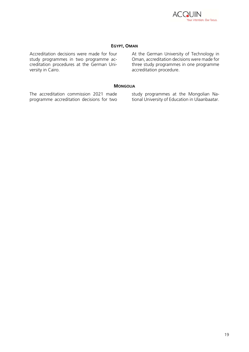

#### **EGYPT, OMAN**

Accreditation decisions were made for four study programmes in two programme accreditation procedures at the German University in Cairo.

At the German University of Technology in Oman, accreditation decisions were made for three study programmes in one programme accreditation procedure.

#### **MONGOLIA**

The accreditation commission 2021 made programme accreditation decisions for two study programmes at the Mongolian National University of Education in Ulaanbaatar.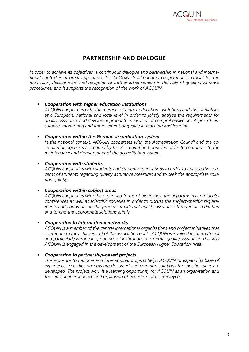

#### **PARTNERSHIP AND DIALOGUE**

*In order to achieve its objectives, a continuous dialogue and partnership in national and international context is of great importance for ACQUIN. Goal-oriented cooperation is crucial for the discussion, development and reception of further advancement in the field of quality assurance procedures, and it supports the recognition of the work of ACQUIN.* 

#### *Cooperation with higher education institutions*

*ACQUIN cooperates with the mergers of higher education institutions and their initiatives at a European, national and local level in order to jointly analyse the requirements for quality assurance and develop appropriate measures for comprehensive development, assurance, monitoring and improvement of quality in teaching and learning.* 

#### *Cooperation within the German accreditation system*

*In the national context, ACQUIN cooperates with the Accreditation Council and the accreditation agencies accredited by the Accreditation Council in order to contribute to the maintenance and development of the accreditation system.* 

#### *Cooperation with students*

*ACQUIN cooperates with students and student organisations in order to analyse the concerns of students regarding quality assurance measures and to seek the appropriate solutions jointly.* 

#### *Cooperation within subject areas*

*ACQUIN cooperates with the organised forms of disciplines, the departments and faculty conferences as well as scientific societies in order to discuss the subject-specific requirements and conditions in the process of external quality assurance through accreditation and to find the appropriate solutions jointly.* 

#### *Cooperation in international networks*

*ACQUIN is a member of the central international organisations and project initiatives that contribute to the achievement of the association goals. ACQUIN is involved in international and particularly European groupings of institutions of external quality assurance. This way ACQUIN is engaged in the development of the European Higher Education Area.* 

#### *Cooperation in partnership-based projects*

*The exposure to national and international projects helps ACQUIN to expand its base of experience. Specific concepts are discussed and common solutions for specific issues are developed. The project work is a learning opportunity for ACQUIN as an organisation and the individual experience and expansion of expertise for its employees.*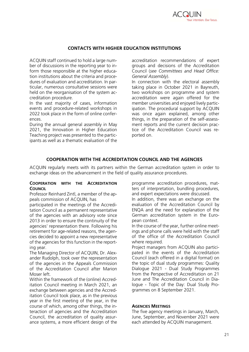#### **CONTACTS WITH HIGHER EDUCATION INSTITUTIONS**

ACQUIN staff continued to hold a large number of discussions in the reporting year to inform those responsible at the higher education institutions about the criteria and procedures of evaluation and accreditation. In particular, numerous consultative sessions were held on the reorganisation of the system accreditation procedure.

In the vast majority of cases, information events and procedure-related workshops in 2022 took place in the form of online conferences.

During the annual general assembly in May 2021, the Innovation in Higher Education Teaching project was presented to the participants as well as a thematic evaluation of the

accreditation recommendations of expert groups and decisions of the Accreditation Council (*see Committees and Head Office: General Assembly*).

In connection with the electoral assembly taking place in October 2021 in Bayreuth, two workshops on programme and system accreditation were again offered for the member universities and enjoyed lively participation. The procedural support by ACQUIN was once again explained, among other things, in the preparation of the self-assessment reports and the current decision practice of the Accreditation Council was reported on.

#### **COOPERATION WITH THE ACCREDITATION COUNCIL AND THE AGENCIES**

ACQUIN regularly meets with its partners within the German accreditation system in order to exchange ideas on the advancement in the field of quality assurance procedures.

#### **COOPERATION WITH THE ACCREDITATION COUNCIL**

Professor Reinhard Zintl, a member of the appeals commission of ACQUIN, has

participated in the meetings of the Accreditation Council as a permanent representative of the agencies with an advisory vote since 2013 in order to ensure the continuity of the agencies' representation there. Following his retirement for age-related reasons, the agencies decided to appoint a new representative of the agencies for this function in the reporting year.

The Managing Director of ACQUIN, Dr. Alexander Rudolph, took over the representation of the agencies in the Appeals Commission of the Accreditation Council after Marion Moser left.

Within the framework of the (online) Accreditation Council meeting in March 2021, an exchange between agencies and the Accreditation Council took place, as in the previous year in the first meeting of the year, in the course of which, among other things, the interaction of agencies and the Accreditation Council, the accreditation of quality assurance systems, a more efficient design of the programme accreditation procedures, matters of interpretation, bundling procedures, and expert expectations were discussed.

In addition, there was an exchange on the evaluation of the Accreditation Council by ENQA and the need for explanation of the German accreditation system in the European context.

In the course of the year, further online meetings and phone calls were held with the staff of the office of the Accreditation Council where required.

Project managers from ACQUIN also participated in the events of the Accreditation Council (each offered in a digital format) on the topic of dual study programmes: Quality Dialogue 2021 - Dual Study Programmes from the Perspective of Accreditation on 21 June and The Accreditation Council in Dialogue - Topic of the Day: Dual Study Programmes on 8 September 2021.

#### **AGENCIES MEETINGS**

The five agency meetings in January, March, June, September, and November 2021 were each attended by ACQUIN management.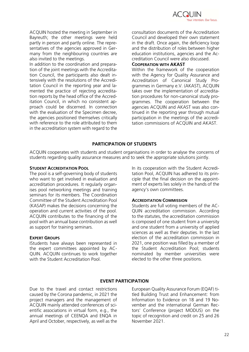ACQUIN hosted the meeting in September in Bayreuth; the other meetings were held partly in person and partly online. The representatives of the agencies approved in Germany from the neighbouring countries are also invited to the meetings.

In addition to the coordination and preparation of the joint meetings with the Accreditation Council, the participants also dealt intensively with the resolutions of the Accreditation Council in the reporting year and lamented the practice of rejecting accreditation reports by the head office of the Accreditation Council, in which no consistent approach could be discerned. In connection with the evaluation of the Specimen decree. the agencies positioned themselves critically with reference to the role attributed to them in the accreditation system with regard to the

consultation documents of the Accreditation Council and developed their own statement in the draft. Once again, the deficiency loop and the distribution of roles between higher education institutions, agencies and the Accreditation Council were also discussed.

#### **COOPERATION WITH AKAST**

Within the framework of the cooperation with the Agency for Quality Assurance and Accreditation of Canonical Study Programmes in Germany e.V. (AKAST), ACQUIN takes over the implementation of accreditation procedures for non-canonical study programmes. The cooperation between the agencies ACQUIN and AKAST was also continued in the reporting year through mutual participation in the meetings of the accreditation commissions of ACQUIN and AKAST.

#### **PARTICIPATION OF STUDENTS**

ACQUIN cooperates with students and student organisations in order to analyse the concerns of students regarding quality assurance measures and to seek the appropriate solutions jointly.

#### **STUDENT ACCREDITATION POOL**

The pool is a self-governing body of students who want to get involved in evaluation and accreditation procedures. It regularly organises pool networking meetings and training seminars for its members. The Coordination Committee of the Student Accreditation Pool (KASAP) makes the decisions concerning the operation and current activities of the pool. ACQUIN contributes to the financing of the pool with an annual base contribution as well as support for training seminars.

#### **EXPERT GROUPS**

IStudents have always been represented in the expert committees appointed by AC-QUIN. ACQUIN continues to work together with the Student Accreditation Pool

In its cooperation with the Student Accreditation Pool, ACQUIN has adhered to its principle that the final decision on the appointment of experts lies solely in the hands of the agency's own committees.

#### **ACCREDITATION COMMISSION**

Students are full voting members of the AC-QUIN accreditation commission. According to the statutes, the accreditation commission is composed of one student from a university and one student from a university of applied sciences as well as their deputies. In the last election of the accreditation commission in 2021, one position was filled by a member of the Student Accreditation Pool; students nominated by member universities were elected to the other three positions.

#### **EVENT PARTICIPATION**

Due to the travel and contact restrictions caused by the Corona pandemic, in 2021 the project managers and the management of ACQUIN mainly attended conferences of scientific associations in virtual form, e.g., the annual meetings of CEENQA and ENQA in April and October, respectively, as well as the European Quality Assurance Forum (EQAF) titled Building Trust and Enhancement: from Information to Evidence on 18 and 19 November and the international German Rectors' Conference (project MODUS) on the topic of recognition and credit on 25 and 26 November 2021.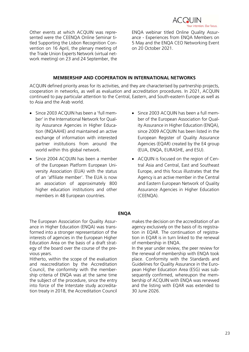Other events at which ACQUIN was represented were the CEENQA Online Seminar titled Supporting the Lisbon Recognition Convention on 16 April, the plenary meeting of the Trade Union Experts Network (virtual network meeting) on 23 and 24 September, the ENQA webinar titled Online Quality Assurance - Experiences from ENQA Members on 5 May and the ENQA CEO Networking Event on 20 October 2021.

#### **MEMBERSHIP AND COOPERATION IN INTERNATIONAL NETWORKS**

ACQUIN defined priority areas for its activities, and they are characterised by partnership projects, cooperation in networks, as well as evaluation and accreditation procedures. In 2021, ACQUIN continued to pay particular attention to the Central, Eastern, and South-eastern Europe as well as to Asia and the Arab world.

- Since 2003 ACQUIN has been a 'full member' in the International Network for Quality Assurance Agencies in Higher Education (INQAAHE) and maintained an active exchange of information with interested partner institutions from around the world within this global network.
- Since 2004 ACQUIN has been a member of the European Platform European University Association (EUA) with the status of an 'affiliate member'. The EUA is now an association of approximately 800 higher education institutions and other members in 48 European countries.
- Since 2003 ACQUIN has been a full member of the European Association for Quality Assurance in Higher Education (ENQA), since 2009 ACQUIN has been listed in the European Register of Quality Assurance Agencies (EQAR) created by the E4 group (EUA, ENQA, EURASHE, and ESU).
- ACQUIN is focused on the region of Central Asia and Central, East and Southeast Europe, and this focus illustrates that the Agency is an active member in the Central and Eastern European Network of Quality Assurance Agencies in Higher Education (CEENQA).

#### **ENQA**

The European Association for Quality Assurance in Higher Education (ENQA) was transformed into a stronger representation of the interests of agencies in the European Higher Education Area on the basis of a draft strategy of the board over the course of the previous years.

Hitherto, within the scope of the evaluation and reaccreditation by the Accreditation Council, the conformity with the membership criteria of ENQA was at the same time the subject of the procedure, since the entry into force of the Interstate study accreditation treaty in 2018, the Accreditation Council makes the decision on the accreditation of an agency exclusively on the basis of its registration in EQAR. The continuation of registration in EQAR is in turn linked to the renewal of membership in ENQA.

In the year under review, the peer review for the renewal of membership with ENQA took place. Conformity with the Standards and Guidelines for Quality Assurance in the European Higher Education Area (ESG) was subsequently confirmed, whereupon the membership of ACQUIN with ENQA was renewed and the listing with EQAR was extended to 30 June 2026.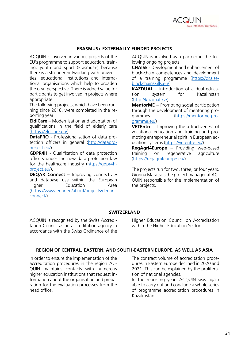

#### **ERASMUS+ EXTERNALLY FUNDED PROJECTS**

ACQUIN is involved in various projects of the EU's programme to support education, training, youth and sport (Erasmus+) because there is a stronger networking with universities, educational institutions and international organisations which help to broaden the own perspective. There is added value for participants to get involved in projects where appropriate.

The following projects, which have been running since 2018, were completed in the reporting year:

**EldiCare** – Modernisation and adaptation of qualifications in the field of elderly care (https://eldicare.eu/).

**DataPRO** - Professionalisation of data protection officers in general (http://dataproproject.eu/).

**GDPR4H** - Qualification of data protection officers under the new data protection law for the healthcare industry (https://gdpr4hproject.eu/).

**DEQAR Connect –** Improving connectivity and database use within the European Higher Education Area (https://www.eqar.eu/about/projects/deqarconnect/)

ACQUIN is involved as a partner in the following ongoing projects:

**CHAISE** - Development and enhancement of block-chain competences and development of a training programme (https://chaiseblockchainskills.eu/)

**KAZDUAL** – Introduction of a dual educa-<br>tion system for Kazakhstan tion system for Kazakhstan (http://kazdual.kz/)

**MentorME** – Promoting social participation through the development of mentoring programmes (https://mentorme-programme.eu/)

**VETEntre** – Improving the attractiveness of vocational education and training and promoting entrepreneurial spirit in European education systems (https://vetentre.eu/)

**RegAgri4Europe** – Providing web-based training on regenerative agriculture (https://regagri4europe.eu/)

The projects run for two, three, or four years. Giorina Maratsi is the project manager at AC-QUIN responsible for the implementation of the projects.

#### **SWITZERLAND**

ACQUIN is recognised by the Swiss Accreditation Council as an accreditation agency in accordance with the Swiss Ordinance of the

Higher Education Council on Accreditation within the Higher Education Sector.

#### **REGION OF CENTRAL, EASTERN, AND SOUTH-EASTERN EUROPE, AS WELL AS ASIA**

In order to ensure the implementation of the accreditation procedures in the region AC-QUIN maintains contacts with numerous higher education institutions that request information about the organisation and preparation for the evaluation processes from the head office.

The contract volume of accreditation procedures in Eastern Europe declined in 2020 and 2021. This can be explained by the proliferation of national agencies.

In the reporting year, ACQUIN was again able to carry out and conclude a whole series of programme accreditation procedures in Kazakhstan.